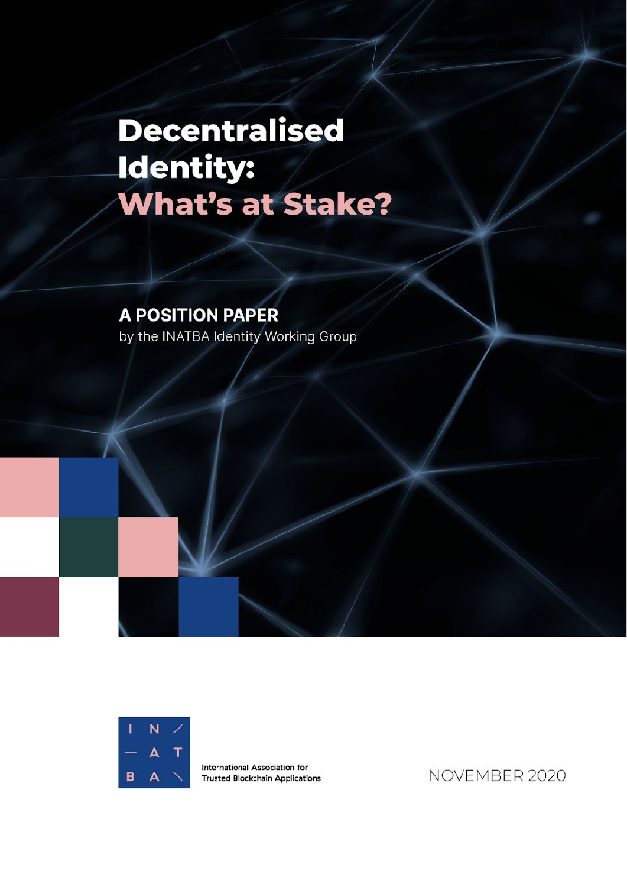# **Decentralised** Identity: **What's at Stake?**

# **A POSITION PAPER** by the INATBA Identity Working Group



International Association for **Trusted Blockchain Applications** 

NOVEMBER 2020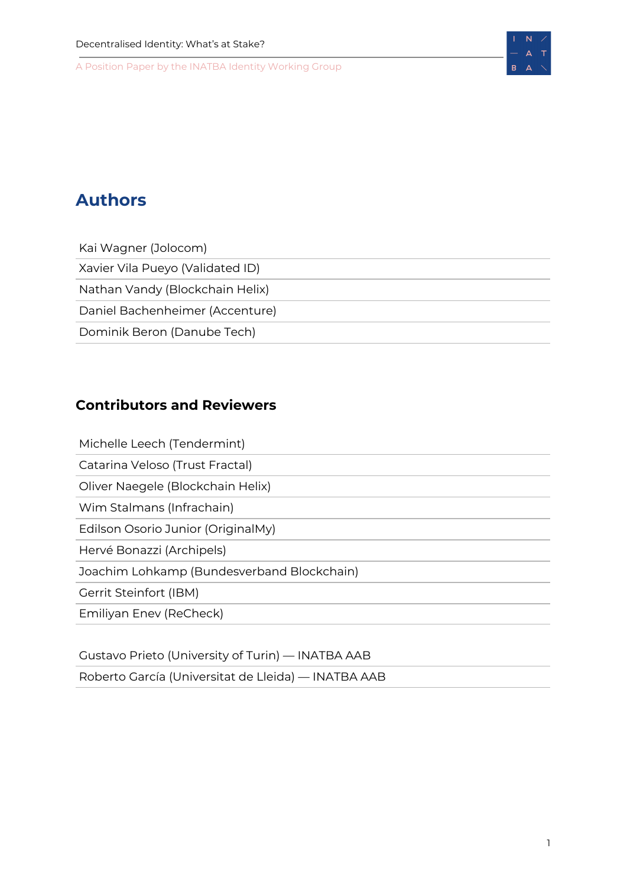

# <span id="page-1-0"></span>**Authors**

Kai Wagner (Jolocom) Xavier Vila Pueyo (Validated ID) Nathan Vandy (Blockchain Helix) Daniel Bachenheimer (Accenture) Dominik Beron (Danube Tech)

# <span id="page-1-1"></span>**Contributors and Reviewers**

Michelle Leech (Tendermint)

Catarina Veloso (Trust Fractal)

Oliver Naegele (Blockchain Helix)

Wim Stalmans (Infrachain)

Edilson Osorio Junior (OriginalMy)

Hervé Bonazzi (Archipels)

Joachim Lohkamp (Bundesverband Blockchain)

Gerrit Steinfort (IBM)

Emiliyan Enev (ReCheck)

Gustavo Prieto (University of Turin) — INATBA AAB

Roberto García (Universitat de Lleida) — INATBA AAB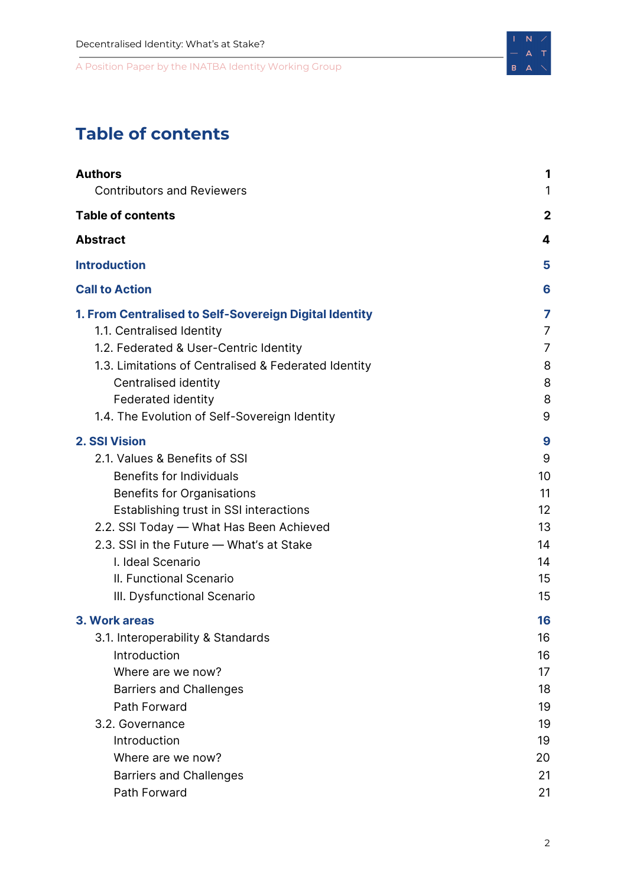# <span id="page-2-0"></span>**Table of contents**

| <b>Authors</b>                                                                                                                                                                                                                                                                                                                                | 1                                                              |
|-----------------------------------------------------------------------------------------------------------------------------------------------------------------------------------------------------------------------------------------------------------------------------------------------------------------------------------------------|----------------------------------------------------------------|
| <b>Contributors and Reviewers</b>                                                                                                                                                                                                                                                                                                             | 1                                                              |
| <b>Table of contents</b>                                                                                                                                                                                                                                                                                                                      | $\mathbf 2$                                                    |
| <b>Abstract</b>                                                                                                                                                                                                                                                                                                                               | 4                                                              |
| <b>Introduction</b>                                                                                                                                                                                                                                                                                                                           | 5                                                              |
| <b>Call to Action</b>                                                                                                                                                                                                                                                                                                                         | 6                                                              |
| 1. From Centralised to Self-Sovereign Digital Identity<br>1.1. Centralised Identity<br>1.2. Federated & User-Centric Identity<br>1.3. Limitations of Centralised & Federated Identity<br>Centralised identity<br><b>Federated identity</b><br>1.4. The Evolution of Self-Sovereign Identity                                                   | 7<br>7<br>7<br>8<br>8<br>8<br>9                                |
| <b>2. SSI Vision</b><br>2.1. Values & Benefits of SSI<br><b>Benefits for Individuals</b><br><b>Benefits for Organisations</b><br>Establishing trust in SSI interactions<br>2.2. SSI Today - What Has Been Achieved<br>2.3. SSI in the Future - What's at Stake<br>I. Ideal Scenario<br>II. Functional Scenario<br>III. Dysfunctional Scenario | 9<br>9<br>10<br>11<br>12<br>13<br>14<br>14<br>15<br>15         |
| 3. Work areas<br>3.1. Interoperability & Standards<br>Introduction<br>Where are we now?<br><b>Barriers and Challenges</b><br>Path Forward<br>3.2. Governance<br>Introduction<br>Where are we now?<br><b>Barriers and Challenges</b><br>Path Forward                                                                                           | 16<br>16<br>16<br>17<br>18<br>19<br>19<br>19<br>20<br>21<br>21 |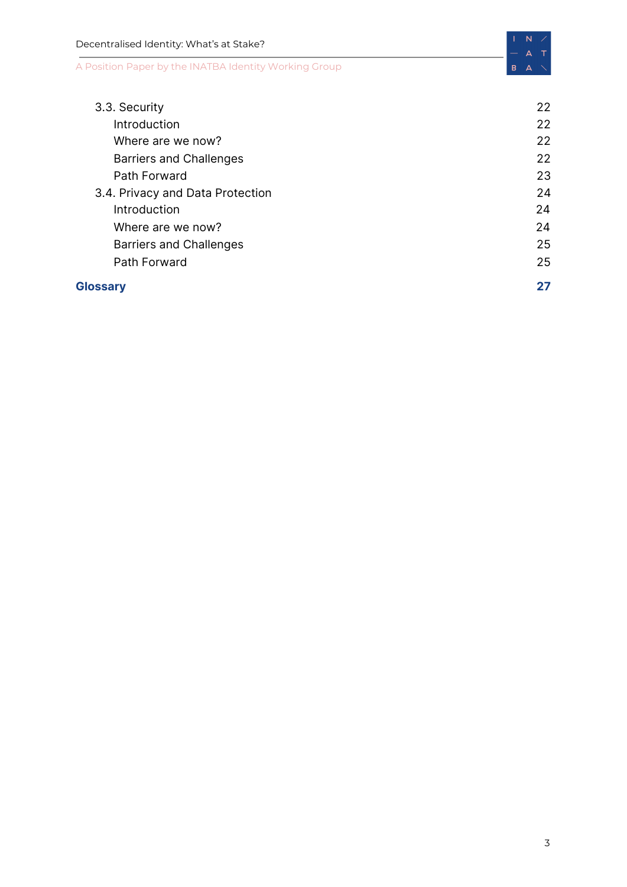| Decentralised Identity: What's at Stake?              | N  |
|-------------------------------------------------------|----|
| A Position Paper by the INATBA Identity Working Group | в  |
| 3.3. Security                                         | 22 |
| Introduction                                          | 22 |
| Where are we now?                                     | 22 |
| <b>Barriers and Challenges</b>                        | 22 |
| Path Forward                                          | 23 |
| 3.4. Privacy and Data Protection                      | 24 |
| Introduction                                          | 24 |
| Where are we now?                                     | 24 |
| <b>Barriers and Challenges</b>                        | 25 |
| Path Forward                                          | 25 |

### **[Glossary](#page-26-0) [27](#page-26-0)**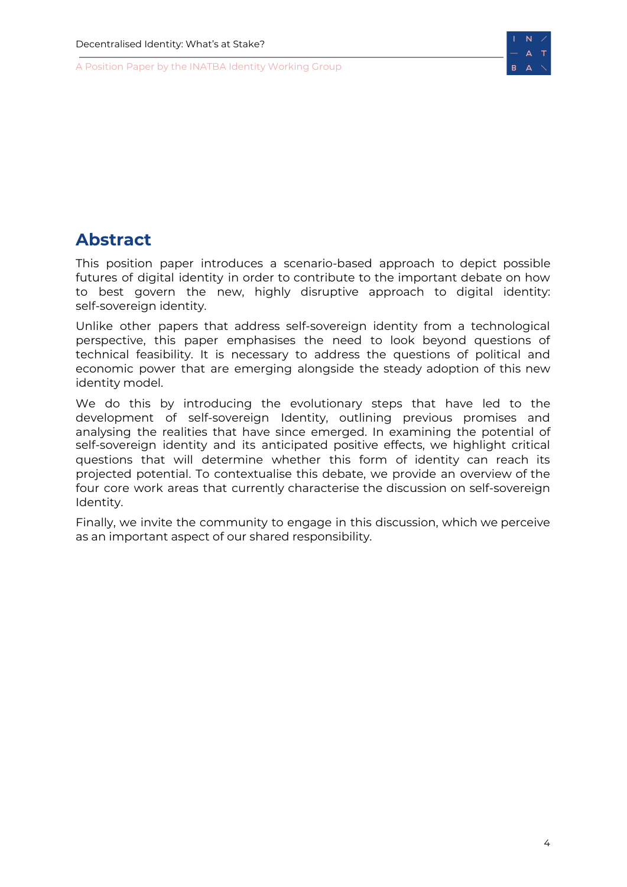

# <span id="page-4-0"></span>**Abstract**

This position paper introduces a scenario-based approach to depict possible futures of digital identity in order to contribute to the important debate on how to best govern the new, highly disruptive approach to digital identity: self-sovereign identity.

Unlike other papers that address self-sovereign identity from a technological perspective, this paper emphasises the need to look beyond questions of technical feasibility. It is necessary to address the questions of political and economic power that are emerging alongside the steady adoption of this new identity model.

We do this by introducing the evolutionary steps that have led to the development of self-sovereign Identity, outlining previous promises and analysing the realities that have since emerged. In examining the potential of self-sovereign identity and its anticipated positive effects, we highlight critical questions that will determine whether this form of identity can reach its projected potential. To contextualise this debate, we provide an overview of the four core work areas that currently characterise the discussion on self-sovereign Identity.

Finally, we invite the community to engage in this discussion, which we perceive as an important aspect of our shared responsibility.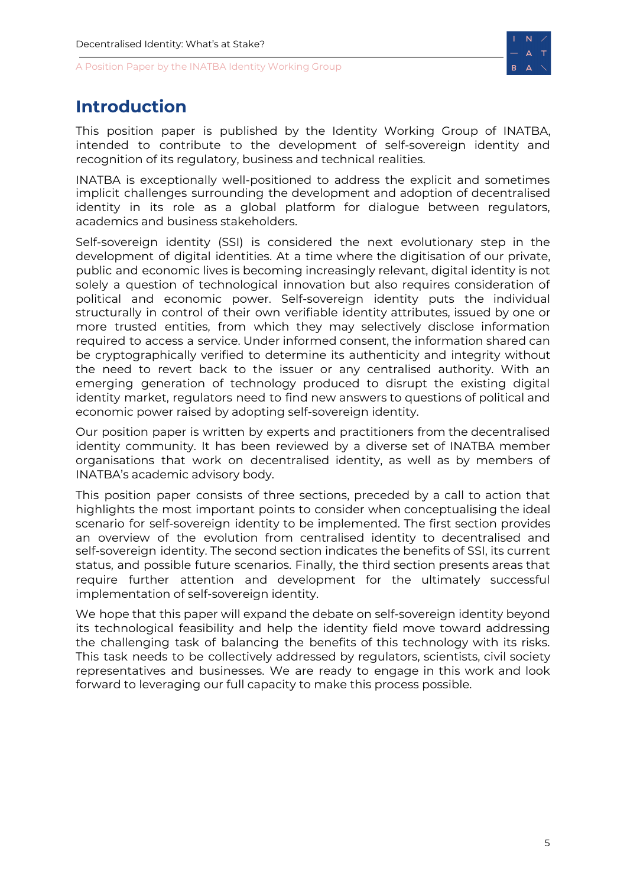

# <span id="page-5-0"></span>**Introduction**

This position paper is published by the Identity Working Group of INATBA, intended to contribute to the development of self-sovereign identity and recognition of its regulatory, business and technical realities.

INATBA is exceptionally well-positioned to address the explicit and sometimes implicit challenges surrounding the development and adoption of decentralised identity in its role as a global platform for dialogue between regulators, academics and business stakeholders.

Self-sovereign identity (SSI) is considered the next evolutionary step in the development of digital identities. At a time where the digitisation of our private, public and economic lives is becoming increasingly relevant, digital identity is not solely a question of technological innovation but also requires consideration of political and economic power. Self-sovereign identity puts the individual structurally in control of their own verifiable identity attributes, issued by one or more trusted entities, from which they may selectively disclose information required to access a service. Under informed consent, the information shared can be cryptographically verified to determine its authenticity and integrity without the need to revert back to the issuer or any centralised authority. With an emerging generation of technology produced to disrupt the existing digital identity market, regulators need to find new answers to questions of political and economic power raised by adopting self-sovereign identity.

Our position paper is written by experts and practitioners from the decentralised identity community. It has been reviewed by a diverse set of INATBA member organisations that work on decentralised identity, as well as by members of INATBA's academic advisory body.

This position paper consists of three sections, preceded by a call to action that highlights the most important points to consider when conceptualising the ideal scenario for self-sovereign identity to be implemented. The first section provides an overview of the evolution from centralised identity to decentralised and self-sovereign identity. The second section indicates the benefits of SSI, its current status, and possible future scenarios. Finally, the third section presents areas that require further attention and development for the ultimately successful implementation of self-sovereign identity.

We hope that this paper will expand the debate on self-sovereign identity beyond its technological feasibility and help the identity field move toward addressing the challenging task of balancing the benefits of this technology with its risks. This task needs to be collectively addressed by regulators, scientists, civil society representatives and businesses. We are ready to engage in this work and look forward to leveraging our full capacity to make this process possible.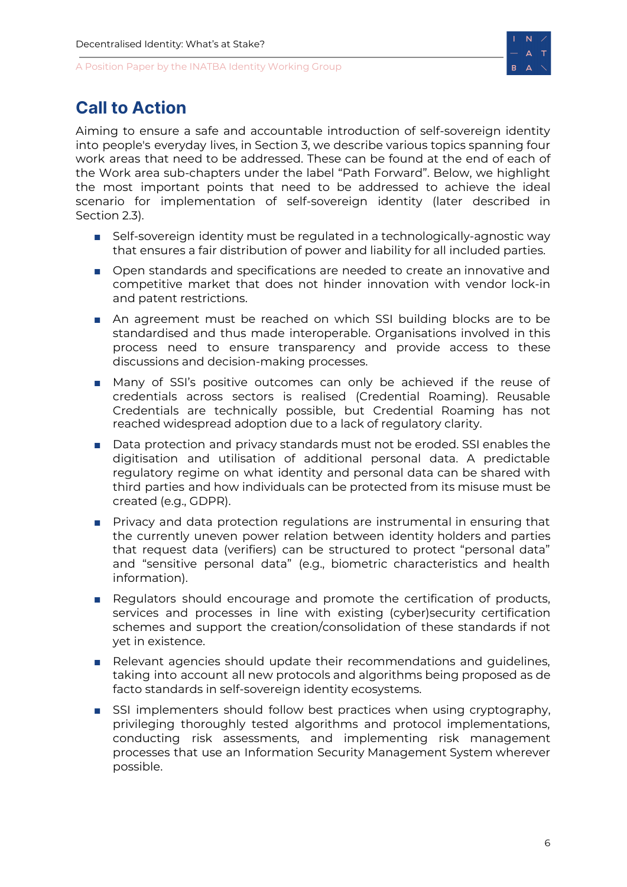

# <span id="page-6-0"></span>**Call to Action**

Aiming to ensure a safe and accountable introduction of self-sovereign identity into people's everyday lives, in Section 3, we describe various topics spanning four work areas that need to be addressed. These can be found at the end of each of the Work area sub-chapters under the label "Path Forward". Below, we highlight the most important points that need to be addressed to achieve the ideal scenario for implementation of self-sovereign identity (later described in Section 2.3).

- Self-sovereign identity must be regulated in a technologically-agnostic way that ensures a fair distribution of power and liability for all included parties.
- Open standards and specifications are needed to create an innovative and competitive market that does not hinder innovation with vendor lock-in and patent restrictions.
- An agreement must be reached on which SSI building blocks are to be standardised and thus made interoperable. Organisations involved in this process need to ensure transparency and provide access to these discussions and decision-making processes.
- Many of SSI's positive outcomes can only be achieved if the reuse of credentials across sectors is realised (Credential Roaming). Reusable Credentials are technically possible, but Credential Roaming has not reached widespread adoption due to a lack of regulatory clarity.
- Data protection and privacy standards must not be eroded. SSI enables the digitisation and utilisation of additional personal data. A predictable regulatory regime on what identity and personal data can be shared with third parties and how individuals can be protected from its misuse must be created (e.g., GDPR).
- Privacy and data protection regulations are instrumental in ensuring that the currently uneven power relation between identity holders and parties that request data (verifiers) can be structured to protect "personal data" and "sensitive personal data" (e.g., biometric characteristics and health information).
- Regulators should encourage and promote the certification of products, services and processes in line with existing (cyber)security certification schemes and support the creation/consolidation of these standards if not yet in existence.
- Relevant agencies should update their recommendations and guidelines, taking into account all new protocols and algorithms being proposed as de facto standards in self-sovereign identity ecosystems.
- SSI implementers should follow best practices when using cryptography, privileging thoroughly tested algorithms and protocol implementations, conducting risk assessments, and implementing risk management processes that use an Information Security Management System wherever possible.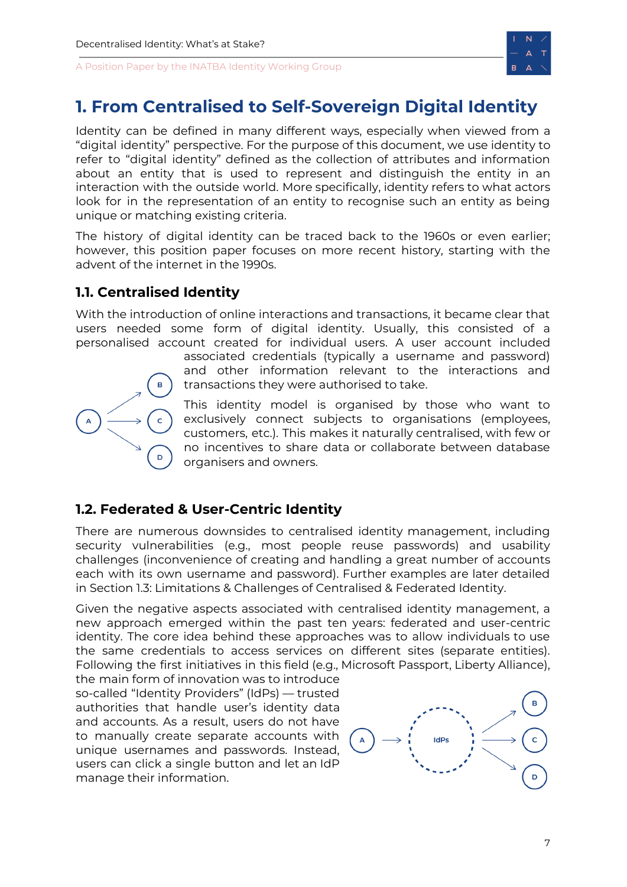

# <span id="page-7-0"></span>**1. From Centralised to Self-Sovereign Digital Identity**

Identity can be defined in many different ways, especially when viewed from a "digital identity" perspective. For the purpose of this document, we use identity to refer to "digital identity" defined as the collection of attributes and information about an entity that is used to represent and distinguish the entity in an interaction with the outside world. More specifically, identity refers to what actors look for in the representation of an entity to recognise such an entity as being unique or matching existing criteria.

The history of digital identity can be traced back to the 1960s or even earlier; however, this position paper focuses on more recent history, starting with the advent of the internet in the 1990s.

# <span id="page-7-1"></span>**1.1. Centralised Identity**

With the introduction of online interactions and transactions, it became clear that users needed some form of digital identity. Usually, this consisted of a personalised account created for individual users. A user account included

D

associated credentials (typically a username and password) and other information relevant to the interactions and transactions they were authorised to take.

This identity model is organised by those who want to exclusively connect subjects to organisations (employees, customers, etc.). This makes it naturally centralised, with few or no incentives to share data or collaborate between database organisers and owners.

# <span id="page-7-2"></span>**1.2. Federated & User-Centric Identity**

There are numerous downsides to centralised identity management, including security vulnerabilities (e.g., most people reuse passwords) and usability challenges (inconvenience of creating and handling a great number of accounts each with its own username and password). Further examples are later detailed in Section 1.3: Limitations & Challenges of Centralised & Federated Identity.

Given the negative aspects associated with centralised identity management, a new approach emerged within the past ten years: federated and user-centric identity. The core idea behind these approaches was to allow individuals to use the same credentials to access services on different sites (separate entities). Following the first initiatives in this field (e.g., Microsoft Passport, Liberty Alliance),

the main form of innovation was to introduce so-called "Identity Providers" (IdPs) — trusted authorities that handle user's identity data and accounts. As a result, users do not have to manually create separate accounts with unique usernames and passwords. Instead, users can click a single button and let an IdP manage their information.

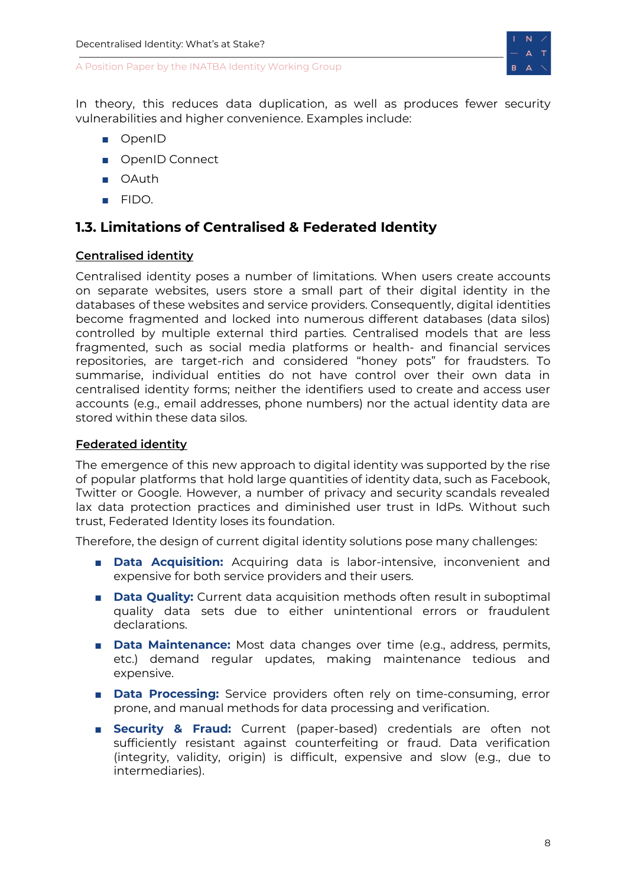

In theory, this reduces data duplication, as well as produces fewer security vulnerabilities and higher convenience. Examples include:

- OpenID
- OpenID Connect
- OAuth
- FIDO.

# <span id="page-8-0"></span>**1.3. Limitations of Centralised & Federated Identity**

### <span id="page-8-1"></span>**Centralised identity**

Centralised identity poses a number of limitations. When users create accounts on separate websites, users store a small part of their digital identity in the databases of these websites and service providers. Consequently, digital identities become fragmented and locked into numerous different databases (data silos) controlled by multiple external third parties. Centralised models that are less fragmented, such as social media platforms or health- and financial services repositories, are target-rich and considered "honey pots" for fraudsters. To summarise, individual entities do not have control over their own data in centralised identity forms; neither the identifiers used to create and access user accounts (e.g., email addresses, phone numbers) nor the actual identity data are stored within these data silos.

### <span id="page-8-2"></span>**Federated identity**

The emergence of this new approach to digital identity was supported by the rise of popular platforms that hold large quantities of identity data, such as Facebook, Twitter or Google. However, a number of privacy and security scandals revealed lax data protection practices and diminished user trust in IdPs. Without such trust, Federated Identity loses its foundation.

Therefore, the design of current digital identity solutions pose many challenges:

- **Data Acquisition:** Acquiring data is labor-intensive, inconvenient and expensive for both service providers and their users.
- **Data Quality:** Current data acquisition methods often result in suboptimal quality data sets due to either unintentional errors or fraudulent declarations.
- **Data Maintenance:** Most data changes over time (e.g., address, permits, etc.) demand regular updates, making maintenance tedious and expensive.
- **Data Processing:** Service providers often rely on time-consuming, error prone, and manual methods for data processing and verification.
- **Security & Fraud:** Current (paper-based) credentials are often not sufficiently resistant against counterfeiting or fraud. Data verification (integrity, validity, origin) is difficult, expensive and slow (e.g., due to intermediaries).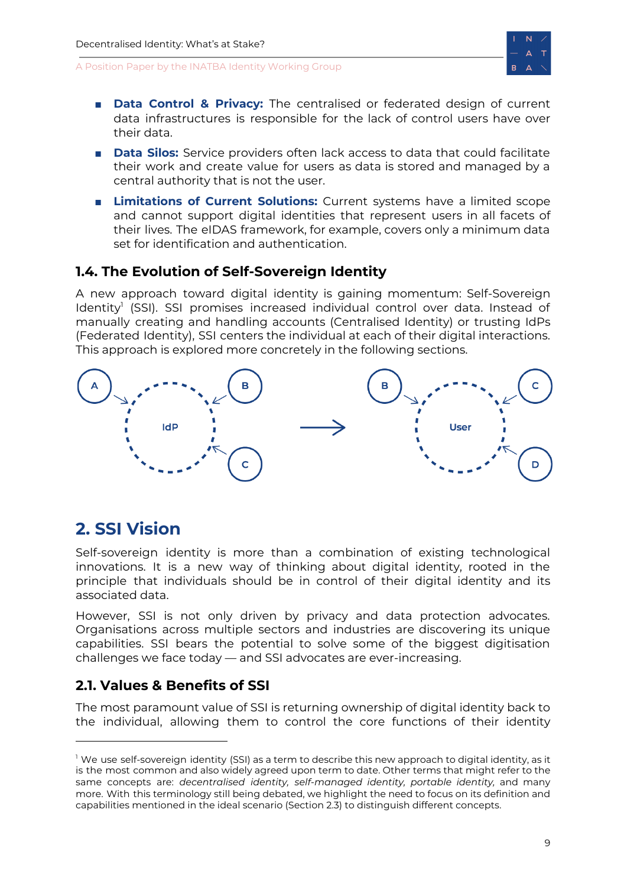

- **Data Control & Privacy:** The centralised or federated design of current data infrastructures is responsible for the lack of control users have over their data.
- **Data Silos:** Service providers often lack access to data that could facilitate their work and create value for users as data is stored and managed by a central authority that is not the user.
- **Limitations of Current Solutions:** Current systems have a limited scope and cannot support digital identities that represent users in all facets of their lives. The eIDAS framework, for example, covers only a minimum data set for identification and authentication.

# <span id="page-9-0"></span>**1.4. The Evolution of Self-Sovereign Identity**

A new approach toward digital identity is gaining momentum: Self-Sovereign Identity<sup>1</sup> (SSI). SSI promises increased individual control over data. Instead of manually creating and handling accounts (Centralised Identity) or trusting IdPs (Federated Identity), SSI centers the individual at each of their digital interactions. This approach is explored more concretely in the following sections.



# <span id="page-9-1"></span>**2. SSI Vision**

Self-sovereign identity is more than a combination of existing technological innovations. It is a new way of thinking about digital identity, rooted in the principle that individuals should be in control of their digital identity and its associated data.

However, SSI is not only driven by privacy and data protection advocates. Organisations across multiple sectors and industries are discovering its unique capabilities. SSI bears the potential to solve some of the biggest digitisation challenges we face today — and SSI advocates are ever-increasing.

# <span id="page-9-2"></span>**2.1. Values & Benefits of SSI**

The most paramount value of SSI is returning ownership of digital identity back to the individual, allowing them to control the core functions of their identity

 $<sup>1</sup>$  We use self-sovereign identity (SSI) as a term to describe this new approach to digital identity, as it</sup> is the most common and also widely agreed upon term to date. Other terms that might refer to the same concepts are: *decentralised identity, self-managed identity, portable identity,* and many more. With this terminology still being debated, we highlight the need to focus on its definition and capabilities mentioned in the ideal scenario (Section 2.3) to distinguish different concepts.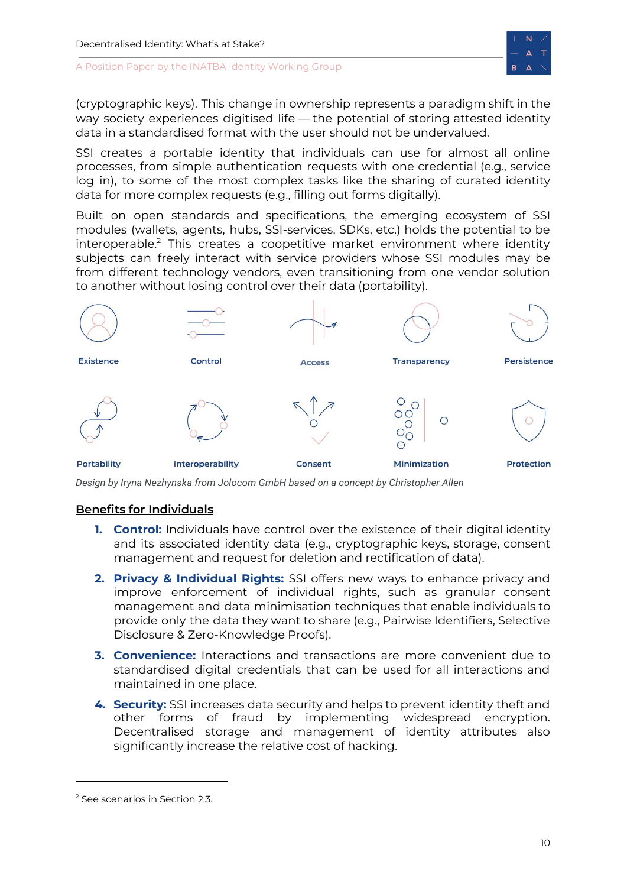

(cryptographic keys). This change in ownership represents a paradigm shift in the way society experiences digitised life — the potential of storing attested identity data in a standardised format with the user should not be undervalued.

SSI creates a portable identity that individuals can use for almost all online processes, from simple authentication requests with one credential (e.g., service log in), to some of the most complex tasks like the sharing of curated identity data for more complex requests (e.g., filling out forms digitally).

Built on open standards and specifications, the emerging ecosystem of SSI modules (wallets, agents, hubs, SSI-services, SDKs, etc.) holds the potential to be interoperable. <sup>2</sup> This creates a coopetitive market environment where identity subjects can freely interact with service providers whose SSI modules may be from different technology vendors, even transitioning from one vendor solution to another without losing control over their data (portability).



*Design by Iryna Nezhynska from Jolocom GmbH based on a concept by Christopher Allen*

### <span id="page-10-0"></span>**Benefits for Individuals**

- **1. Control:** Individuals have control over the existence of their digital identity and its associated identity data (e.g., cryptographic keys, storage, consent management and request for deletion and rectification of data).
- **2. Privacy & Individual Rights:** SSI offers new ways to enhance privacy and improve enforcement of individual rights, such as granular consent management and data minimisation techniques that enable individuals to provide only the data they want to share (e.g., Pairwise Identifiers, Selective Disclosure & Zero-Knowledge Proofs).
- **3. Convenience:** Interactions and transactions are more convenient due to standardised digital credentials that can be used for all interactions and maintained in one place.
- **4. Security:** SSI increases data security and helps to prevent identity theft and other forms of fraud by implementing widespread encryption. Decentralised storage and management of identity attributes also significantly increase the relative cost of hacking.

<sup>2</sup> See scenarios in Section 2.3.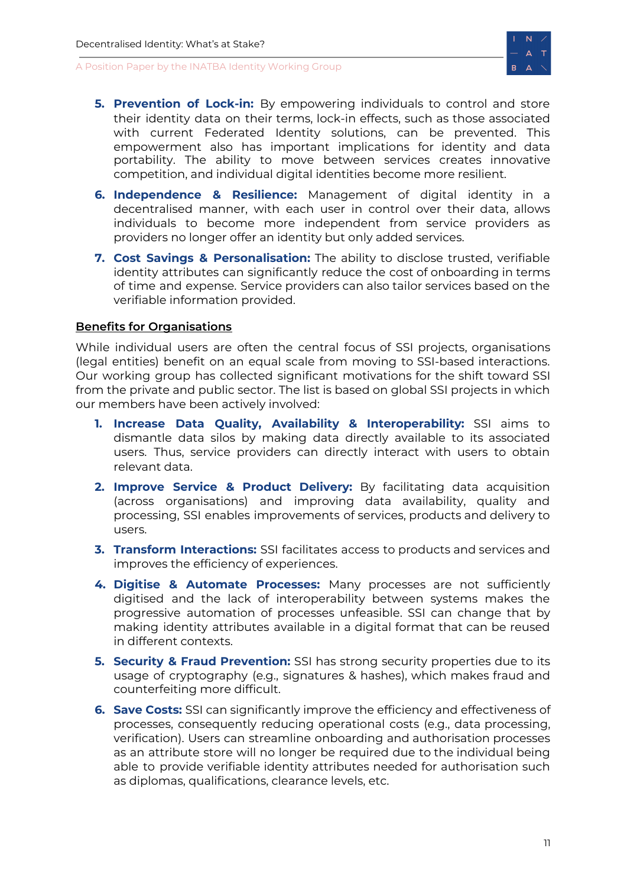

- **5. Prevention of Lock-in:** By empowering individuals to control and store their identity data on their terms, lock-in effects, such as those associated with current Federated Identity solutions, can be prevented. This empowerment also has important implications for identity and data portability. The ability to move between services creates innovative competition, and individual digital identities become more resilient.
- **6. Independence & Resilience:** Management of digital identity in a decentralised manner, with each user in control over their data, allows individuals to become more independent from service providers as providers no longer offer an identity but only added services.
- **7. Cost Savings & Personalisation:** The ability to disclose trusted, verifiable identity attributes can significantly reduce the cost of onboarding in terms of time and expense. Service providers can also tailor services based on the verifiable information provided.

### <span id="page-11-0"></span>**Benefits for Organisations**

While individual users are often the central focus of SSI projects, organisations (legal entities) benefit on an equal scale from moving to SSI-based interactions. Our working group has collected significant motivations for the shift toward SSI from the private and public sector. The list is based on global SSI projects in which our members have been actively involved:

- **1. Increase Data Quality, Availability & Interoperability:** SSI aims to dismantle data silos by making data directly available to its associated users. Thus, service providers can directly interact with users to obtain relevant data.
- **2. Improve Service & Product Delivery:** By facilitating data acquisition (across organisations) and improving data availability, quality and processing, SSI enables improvements of services, products and delivery to users.
- **3. Transform Interactions:** SSI facilitates access to products and services and improves the efficiency of experiences.
- **4. Digitise & Automate Processes:** Many processes are not sufficiently digitised and the lack of interoperability between systems makes the progressive automation of processes unfeasible. SSI can change that by making identity attributes available in a digital format that can be reused in different contexts.
- **5. Security & Fraud Prevention:** SSI has strong security properties due to its usage of cryptography (e.g., signatures & hashes), which makes fraud and counterfeiting more difficult.
- **6. Save Costs:** SSI can significantly improve the efficiency and effectiveness of processes, consequently reducing operational costs (e.g., data processing, verification). Users can streamline onboarding and authorisation processes as an attribute store will no longer be required due to the individual being able to provide verifiable identity attributes needed for authorisation such as diplomas, qualifications, clearance levels, etc.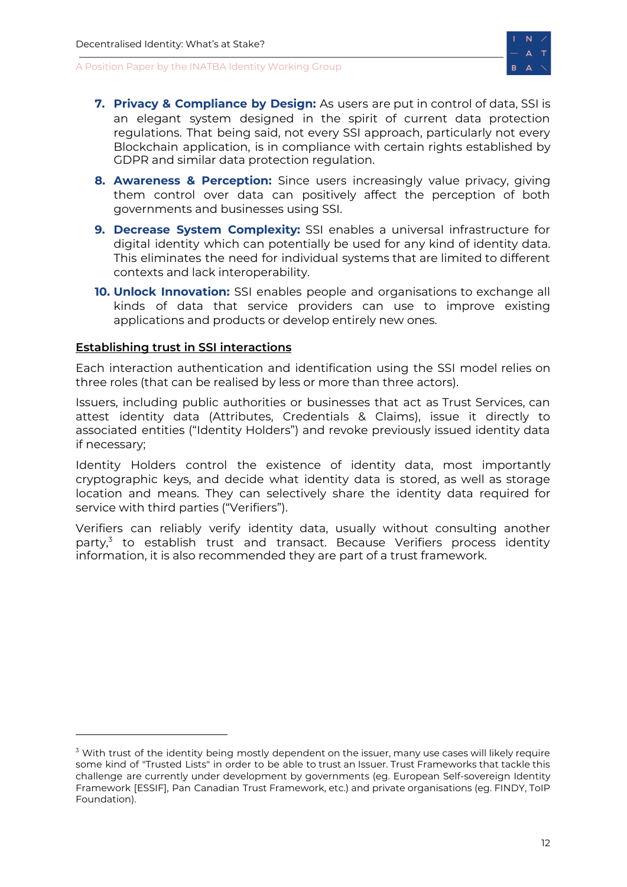

- **7. Privacy & Compliance by Design:** As users are put in control of data, SSI is an elegant system designed in the spirit of current data protection regulations. That being said, not every SSI approach, particularly not every Blockchain application, is in compliance with certain rights established by GDPR and similar data protection regulation.
- **8. Awareness & Perception:** Since users increasingly value privacy, giving them control over data can positively affect the perception of both governments and businesses using SSI.
- **9. Decrease System Complexity:** SSI enables a universal infrastructure for digital identity which can potentially be used for any kind of identity data. This eliminates the need for individual systems that are limited to different contexts and lack interoperability.
- **10. Unlock Innovation:** SSI enables people and organisations to exchange all kinds of data that service providers can use to improve existing applications and products or develop entirely new ones.

### <span id="page-12-0"></span>**Establishing trust in SSI interactions**

Each interaction authentication and identification using the SSI model relies on three roles (that can be realised by less or more than three actors).

Issuers, including public authorities or businesses that act as Trust Services, can attest identity data (Attributes, Credentials & Claims), issue it directly to associated entities ("Identity Holders") and revoke previously issued identity data if necessary;

Identity Holders control the existence of identity data, most importantly cryptographic keys, and decide what identity data is stored, as well as storage location and means. They can selectively share the identity data required for service with third parties ("Verifiers").

Verifiers can reliably verify identity data, usually without consulting another party,<sup>3</sup> to establish trust and transact. Because Verifiers process identity information, it is also recommended they are part of a trust framework.

 $3$  With trust of the identity being mostly dependent on the issuer, many use cases will likely require some kind of "Trusted Lists" in order to be able to trust an Issuer. Trust Frameworks that tackle this challenge are currently under development by governments (eg. European Self-sovereign Identity Framework [ESSIF], Pan Canadian Trust Framework, etc.) and private organisations (eg. FINDY, ToIP Foundation).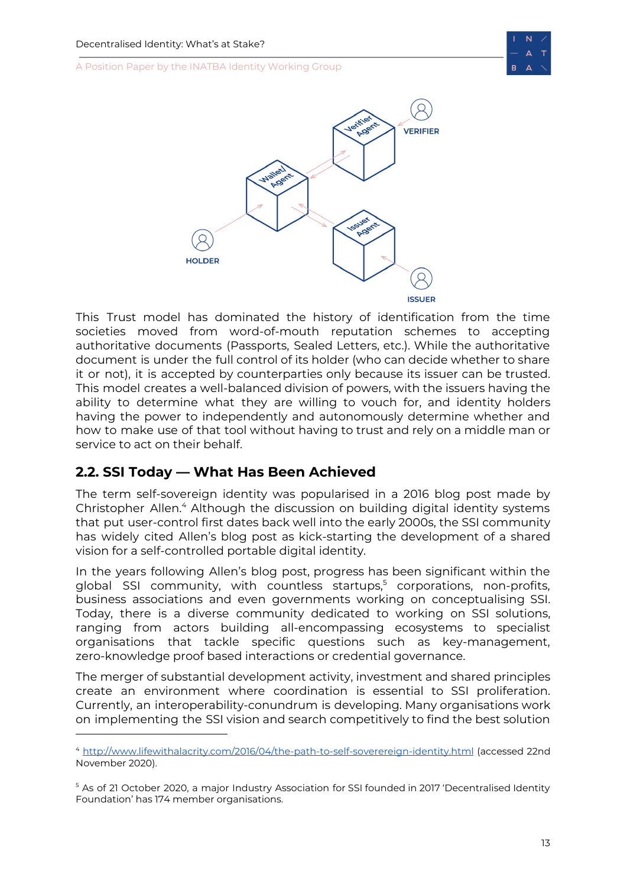



This Trust model has dominated the history of identification from the time societies moved from word-of-mouth reputation schemes to accepting authoritative documents (Passports, Sealed Letters, etc.). While the authoritative document is under the full control of its holder (who can decide whether to share it or not), it is accepted by counterparties only because its issuer can be trusted. This model creates a well-balanced division of powers, with the issuers having the ability to determine what they are willing to vouch for, and identity holders having the power to independently and autonomously determine whether and how to make use of that tool without having to trust and rely on a middle man or service to act on their behalf.

# <span id="page-13-0"></span>**2.2. SSI Today — What Has Been Achieved**

The term self-sovereign identity was popularised in a 2016 blog post made by Christopher Allen.<sup>4</sup> Although the discussion on building digital identity systems that put user-control first dates back well into the early 2000s, the SSI community has widely cited Allen's blog post as kick-starting the development of a shared vision for a self-controlled portable digital identity.

In the years following Allen's blog post, progress has been significant within the global SSI community, with countless startups, <sup>5</sup> corporations, non-profits, business associations and even governments working on conceptualising SSI. Today, there is a diverse community dedicated to working on SSI solutions, ranging from actors building all-encompassing ecosystems to specialist organisations that tackle specific questions such as key-management, zero-knowledge proof based interactions or credential governance.

The merger of substantial development activity, investment and shared principles create an environment where coordination is essential to SSI proliferation. Currently, an interoperability-conundrum is developing. Many organisations work on implementing the SSI vision and search competitively to find the best solution

<sup>4</sup> <http://www.lifewithalacrity.com/2016/04/the-path-to-self-soverereign-identity.html> (accessed 22nd November 2020).

<sup>&</sup>lt;sup>5</sup> As of 21 October 2020, a major Industry Association for SSI founded in 2017 'Decentralised Identity Foundation' has 174 member organisations.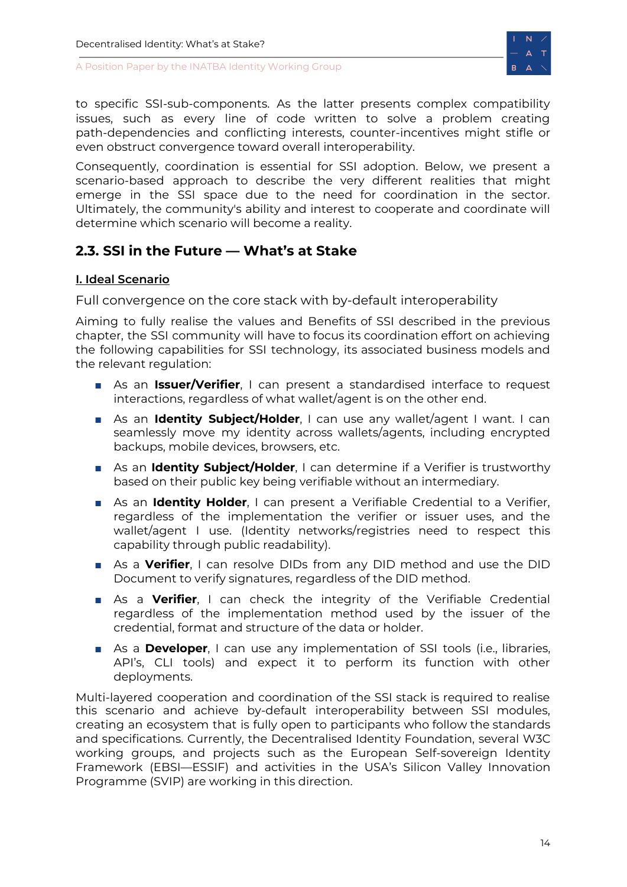

to specific SSI-sub-components. As the latter presents complex compatibility issues, such as every line of code written to solve a problem creating path-dependencies and conflicting interests, counter-incentives might stifle or even obstruct convergence toward overall interoperability.

Consequently, coordination is essential for SSI adoption. Below, we present a scenario-based approach to describe the very different realities that might emerge in the SSI space due to the need for coordination in the sector. Ultimately, the community's ability and interest to cooperate and coordinate will determine which scenario will become a reality.

# <span id="page-14-0"></span>**2.3. SSI in the Future — What's at Stake**

### <span id="page-14-1"></span>**I. Ideal Scenario**

Full convergence on the core stack with by-default interoperability

Aiming to fully realise the values and Benefits of SSI described in the previous chapter, the SSI community will have to focus its coordination effort on achieving the following capabilities for SSI technology, its associated business models and the relevant regulation:

- As an *Issuer/Verifier*, I can present a standardised interface to request interactions, regardless of what wallet/agent is on the other end.
- As an **Identity Subject/Holder**, I can use any wallet/agent I want. I can seamlessly move my identity across wallets/agents, including encrypted backups, mobile devices, browsers, etc.
- As an **Identity Subject/Holder**, I can determine if a Verifier is trustworthy based on their public key being verifiable without an intermediary.
- As an **Identity Holder**, I can present a Verifiable Credential to a Verifier, regardless of the implementation the verifier or issuer uses, and the wallet/agent I use. (Identity networks/registries need to respect this capability through public readability).
- As a **Verifier**, I can resolve DIDs from any DID method and use the DID Document to verify signatures, regardless of the DID method.
- As a **Verifier**, I can check the integrity of the Verifiable Credential regardless of the implementation method used by the issuer of the credential, format and structure of the data or holder.
- As a **Developer**, I can use any implementation of SSI tools (i.e., libraries, API's, CLI tools) and expect it to perform its function with other deployments.

Multi-layered cooperation and coordination of the SSI stack is required to realise this scenario and achieve by-default interoperability between SSI modules, creating an ecosystem that is fully open to participants who follow the standards and specifications. Currently, the Decentralised Identity Foundation, several W3C working groups, and projects such as the European Self-sovereign Identity Framework (EBSI—ESSIF) and activities in the USA's Silicon Valley Innovation Programme (SVIP) are working in this direction.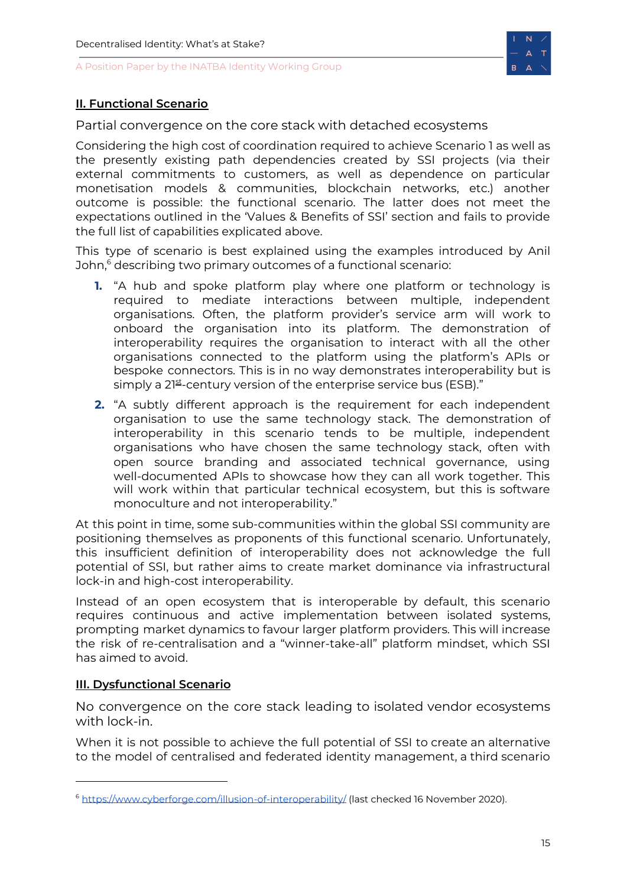

### <span id="page-15-0"></span>**II. Functional Scenario**

Partial convergence on the core stack with detached ecosystems

Considering the high cost of coordination required to achieve Scenario 1 as well as the presently existing path dependencies created by SSI projects (via their external commitments to customers, as well as dependence on particular monetisation models & communities, blockchain networks, etc.) another outcome is possible: the functional scenario. The latter does not meet the expectations outlined in the 'Values & Benefits of SSI' section and fails to provide the full list of capabilities explicated above.

This type of scenario is best explained using the examples introduced by Anil John, <sup>6</sup> describing two primary outcomes of a functional scenario:

- **1.** "A hub and spoke platform play where one platform or technology is required to mediate interactions between multiple, independent organisations. Often, the platform provider's service arm will work to onboard the organisation into its platform. The demonstration of interoperability requires the organisation to interact with all the other organisations connected to the platform using the platform's APIs or bespoke connectors. This is in no way demonstrates interoperability but is simply a 21st-century version of the enterprise service bus (ESB)."
- **2.** "A subtly different approach is the requirement for each independent organisation to use the same technology stack. The demonstration of interoperability in this scenario tends to be multiple, independent organisations who have chosen the same technology stack, often with open source branding and associated technical governance, using well-documented APIs to showcase how they can all work together. This will work within that particular technical ecosystem, but this is software monoculture and not interoperability."

At this point in time, some sub-communities within the global SSI community are positioning themselves as proponents of this functional scenario. Unfortunately, this insufficient definition of interoperability does not acknowledge the full potential of SSI, but rather aims to create market dominance via infrastructural lock-in and high-cost interoperability.

Instead of an open ecosystem that is interoperable by default, this scenario requires continuous and active implementation between isolated systems, prompting market dynamics to favour larger platform providers. This will increase the risk of re-centralisation and a "winner-take-all" platform mindset, which SSI has aimed to avoid.

### <span id="page-15-1"></span>**III. Dysfunctional Scenario**

No convergence on the core stack leading to isolated vendor ecosystems with lock-in.

When it is not possible to achieve the full potential of SSI to create an alternative to the model of centralised and federated identity management, a third scenario

<sup>6</sup> <https://www.cyberforge.com/illusion-of-interoperability/> (last checked 16 November 2020).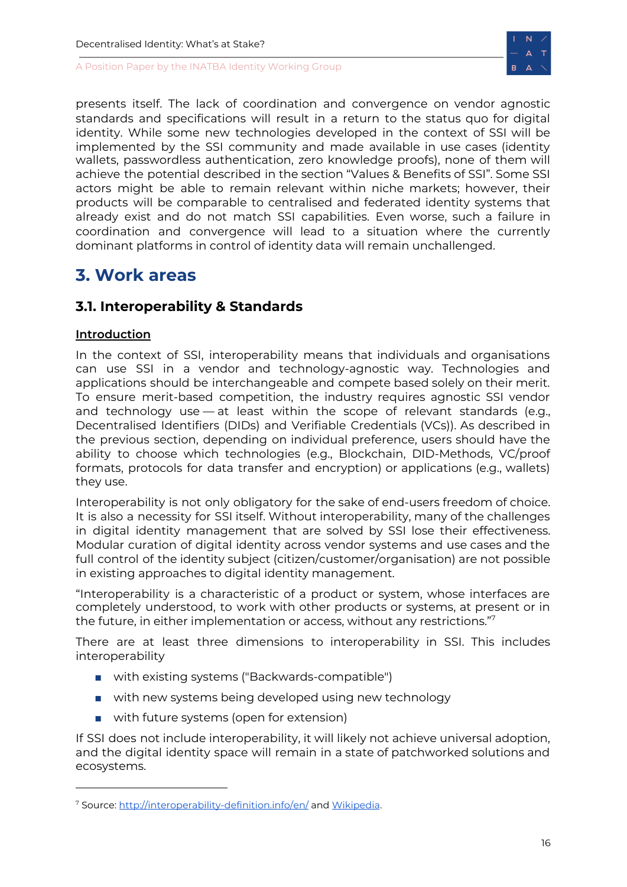

presents itself. The lack of coordination and convergence on vendor agnostic standards and specifications will result in a return to the status quo for digital identity. While some new technologies developed in the context of SSI will be implemented by the SSI community and made available in use cases (identity wallets, passwordless authentication, zero knowledge proofs), none of them will achieve the potential described in the section "Values & Benefits of SSI". Some SSI actors might be able to remain relevant within niche markets; however, their products will be comparable to centralised and federated identity systems that already exist and do not match SSI capabilities. Even worse, such a failure in coordination and convergence will lead to a situation where the currently dominant platforms in control of identity data will remain unchallenged.

# <span id="page-16-0"></span>**3. Work areas**

# <span id="page-16-1"></span>**3.1. Interoperability & Standards**

# <span id="page-16-2"></span>**Introduction**

In the context of SSI, interoperability means that individuals and organisations can use SSI in a vendor and technology-agnostic way. Technologies and applications should be interchangeable and compete based solely on their merit. To ensure merit-based competition, the industry requires agnostic SSI vendor and technology use — at least within the scope of relevant standards (e.g., Decentralised Identifiers (DIDs) and Verifiable Credentials (VCs)). As described in the previous section, depending on individual preference, users should have the ability to choose which technologies (e.g., Blockchain, DID-Methods, VC/proof formats, protocols for data transfer and encryption) or applications (e.g., wallets) they use.

Interoperability is not only obligatory for the sake of end-users freedom of choice. It is also a necessity for SSI itself. Without interoperability, many of the challenges in digital identity management that are solved by SSI lose their effectiveness. Modular curation of digital identity across vendor systems and use cases and the full control of the identity subject (citizen/customer/organisation) are not possible in existing approaches to digital identity management.

"Interoperability is a characteristic of a product or system, whose interfaces are completely understood, to work with other products or systems, at present or in the future, in either implementation or access, without any restrictions." 7

There are at least three dimensions to interoperability in SSI. This includes interoperability

- with existing systems ("Backwards-compatible")
- with new systems being developed using new technology
- with future systems (open for extension)

If SSI does not include interoperability, it will likely not achieve universal adoption, and the digital identity space will remain in a state of patchworked solutions and ecosystems.

<sup>7</sup> Source: <http://interoperability-definition.info/en/> and [Wikipedia](https://en.wikipedia.org/wiki/Interoperability).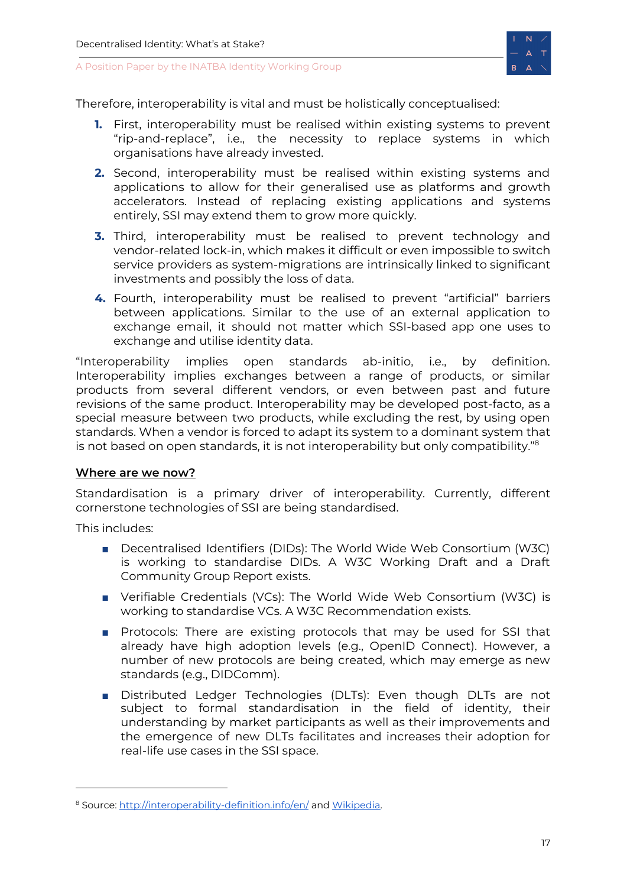

Therefore, interoperability is vital and must be holistically conceptualised:

- **1.** First, interoperability must be realised within existing systems to prevent "rip-and-replace", i.e., the necessity to replace systems in which organisations have already invested.
- **2.** Second, interoperability must be realised within existing systems and applications to allow for their generalised use as platforms and growth accelerators. Instead of replacing existing applications and systems entirely, SSI may extend them to grow more quickly.
- **3.** Third, interoperability must be realised to prevent technology and vendor-related lock-in, which makes it difficult or even impossible to switch service providers as system-migrations are intrinsically linked to significant investments and possibly the loss of data.
- **4.** Fourth, interoperability must be realised to prevent "artificial" barriers between applications. Similar to the use of an external application to exchange email, it should not matter which SSI-based app one uses to exchange and utilise identity data.

"Interoperability implies open standards ab-initio, i.e., by definition. Interoperability implies exchanges between a range of products, or similar products from several different vendors, or even between past and future revisions of the same product. Interoperability may be developed post-facto, as a special measure between two products, while excluding the rest, by using open standards. When a vendor is forced to adapt its system to a dominant system that is not based on open standards, it is not interoperability but only compatibility."<sup>8</sup>

#### <span id="page-17-0"></span>**Where are we now?**

Standardisation is a primary driver of interoperability. Currently, different cornerstone technologies of SSI are being standardised.

This includes:

- Decentralised Identifiers (DIDs): The World Wide Web Consortium (W3C) is working to standardise DIDs. A W3C Working Draft and a Draft Community Group Report exists.
- Verifiable Credentials (VCs): The World Wide Web Consortium (W3C) is working to standardise VCs. A W3C Recommendation exists.
- Protocols: There are existing protocols that may be used for SSI that already have high adoption levels (e.g., OpenID Connect). However, a number of new protocols are being created, which may emerge as new standards (e.g., DIDComm).
- Distributed Ledger Technologies (DLTs): Even though DLTs are not subject to formal standardisation in the field of identity, their understanding by market participants as well as their improvements and the emergence of new DLTs facilitates and increases their adoption for real-life use cases in the SSI space.

<sup>&</sup>lt;sup>8</sup> Source: <http://interoperability-definition.info/en/> and [Wikipedia.](https://en.wikipedia.org/wiki/Interoperability)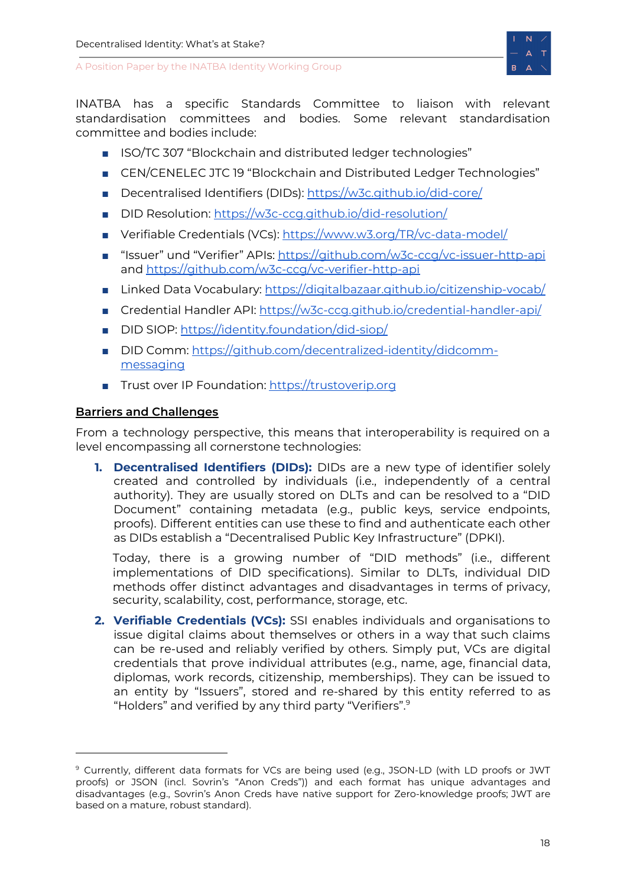

INATBA has a specific Standards Committee to liaison with relevant standardisation committees and bodies. Some relevant standardisation committee and bodies include:

- ISO/TC 307 "Blockchain and distributed ledger technologies"
- CEN/CENELEC JTC 19 "Blockchain and Distributed Ledger Technologies"
- Decentralised Identifiers (DIDs): <https://w3c.github.io/did-core/>
- DID Resolution: <https://w3c-ccg.github.io/did-resolution/>
- Verifiable Credentials (VCs): <https://www.w3.org/TR/vc-data-model/>
- "Issuer" und "Verifier" APIs: <https://github.com/w3c-ccg/vc-issuer-http-api> and <https://github.com/w3c-ccg/vc-verifier-http-api>
- Linked Data Vocabulary: <https://digitalbazaar.github.io/citizenship-vocab/>
- Credential Handler API: <https://w3c-ccg.github.io/credential-handler-api/>
- DID SIOP: <https://identity.foundation/did-siop/>
- DID Comm: [https://github.com/decentralized-identity/didcomm](https://github.com/decentralized-identity/didcomm-messaging)[messaging](https://github.com/decentralized-identity/didcomm-messaging)
- Trust over IP Foundation: [https://trustoverip.org](https://trustoverip.org/)

# <span id="page-18-0"></span>**Barriers and Challenges**

From a technology perspective, this means that interoperability is required on a level encompassing all cornerstone technologies:

**1. Decentralised Identifiers (DIDs):** DIDs are a new type of identifier solely created and controlled by individuals (i.e., independently of a central authority). They are usually stored on DLTs and can be resolved to a "DID Document" containing metadata (e.g., public keys, service endpoints, proofs). Different entities can use these to find and authenticate each other as DIDs establish a "Decentralised Public Key Infrastructure" (DPKI).

Today, there is a growing number of "DID methods" (i.e., different implementations of DID specifications). Similar to DLTs, individual DID methods offer distinct advantages and disadvantages in terms of privacy, security, scalability, cost, performance, storage, etc.

**2. Verifiable Credentials (VCs):** SSI enables individuals and organisations to issue digital claims about themselves or others in a way that such claims can be re-used and reliably verified by others. Simply put, VCs are digital credentials that prove individual attributes (e.g., name, age, financial data, diplomas, work records, citizenship, memberships). They can be issued to an entity by "Issuers", stored and re-shared by this entity referred to as "Holders" and verified by any third party "Verifiers". 9

<sup>&</sup>lt;sup>9</sup> Currently, different data formats for VCs are being used (e.g., JSON-LD (with LD proofs or JWT proofs) or JSON (incl. Sovrin's "Anon Creds")) and each format has unique advantages and disadvantages (e.g., Sovrin's Anon Creds have native support for Zero-knowledge proofs; JWT are based on a mature, robust standard).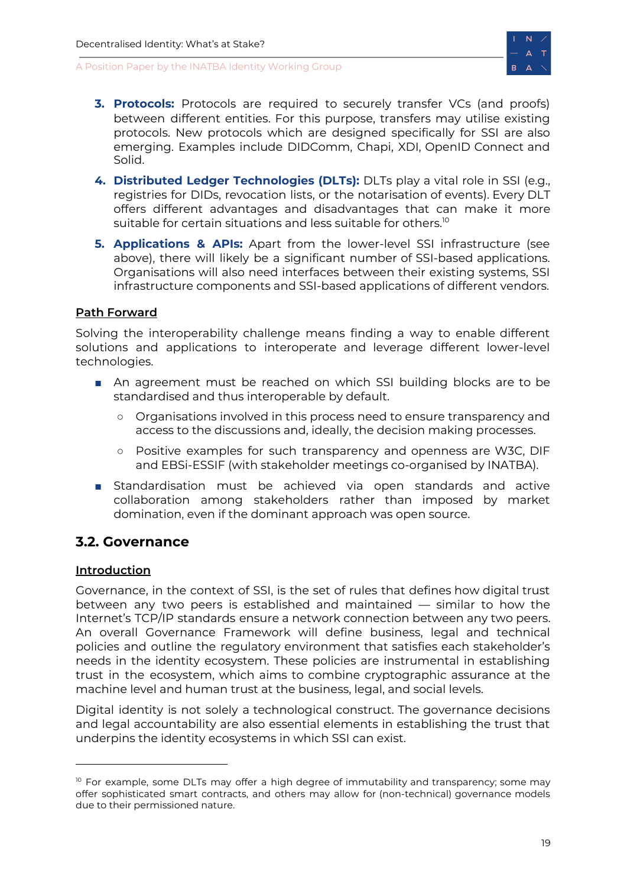

- **3. Protocols:** Protocols are required to securely transfer VCs (and proofs) between different entities. For this purpose, transfers may utilise existing protocols. New protocols which are designed specifically for SSI are also emerging. Examples include DIDComm, Chapi, XDI, OpenID Connect and Solid.
- **4. Distributed Ledger Technologies (DLTs):** DLTs play a vital role in SSI (e.g., registries for DIDs, revocation lists, or the notarisation of events). Every DLT offers different advantages and disadvantages that can make it more suitable for certain situations and less suitable for others. $^{\rm lo}$
- **5. Applications & APIs:** Apart from the lower-level SSI infrastructure (see above), there will likely be a significant number of SSI-based applications. Organisations will also need interfaces between their existing systems, SSI infrastructure components and SSI-based applications of different vendors.

# <span id="page-19-0"></span>**Path Forward**

Solving the interoperability challenge means finding a way to enable different solutions and applications to interoperate and leverage different lower-level technologies.

- An agreement must be reached on which SSI building blocks are to be standardised and thus interoperable by default.
	- Organisations involved in this process need to ensure transparency and access to the discussions and, ideally, the decision making processes.
	- Positive examples for such transparency and openness are W3C, DIF and EBSi-ESSIF (with stakeholder meetings co-organised by INATBA).
- Standardisation must be achieved via open standards and active collaboration among stakeholders rather than imposed by market domination, even if the dominant approach was open source.

# <span id="page-19-1"></span>**3.2. Governance**

### <span id="page-19-2"></span>**Introduction**

Governance, in the context of SSI, is the set of rules that defines how digital trust between any two peers is established and maintained — similar to how the Internet's TCP/IP standards ensure a network connection between any two peers. An overall Governance Framework will define business, legal and technical policies and outline the regulatory environment that satisfies each stakeholder's needs in the identity ecosystem. These policies are instrumental in establishing trust in the ecosystem, which aims to combine cryptographic assurance at the machine level and human trust at the business, legal, and social levels.

Digital identity is not solely a technological construct. The governance decisions and legal accountability are also essential elements in establishing the trust that underpins the identity ecosystems in which SSI can exist.

 $10$  For example, some DLTs may offer a high degree of immutability and transparency; some may offer sophisticated smart contracts, and others may allow for (non-technical) governance models due to their permissioned nature.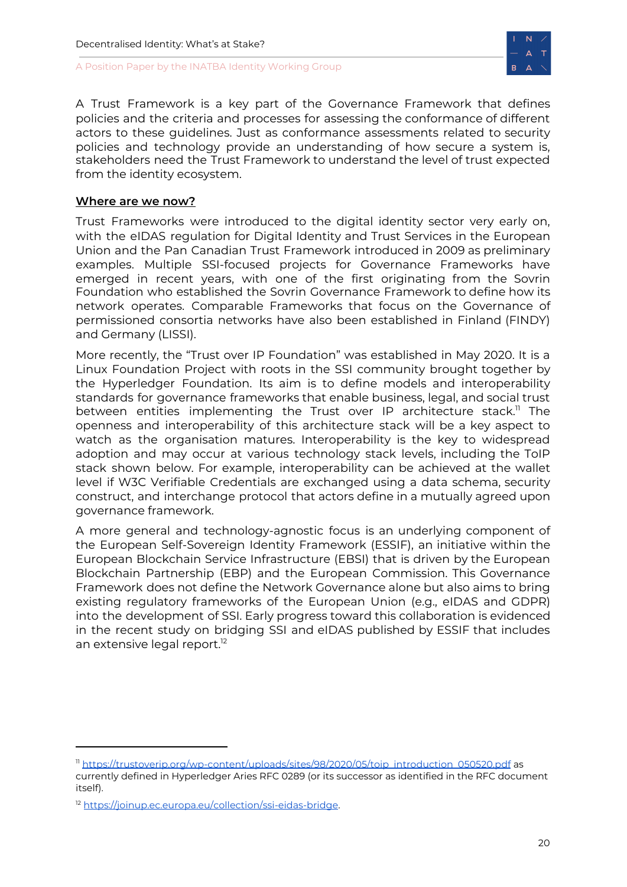

A Trust Framework is a key part of the Governance Framework that defines policies and the criteria and processes for assessing the conformance of different actors to these guidelines. Just as conformance assessments related to security policies and technology provide an understanding of how secure a system is, stakeholders need the Trust Framework to understand the level of trust expected from the identity ecosystem.

#### <span id="page-20-0"></span>**Where are we now?**

Trust Frameworks were introduced to the digital identity sector very early on, with the eIDAS regulation for Digital Identity and Trust Services in the European Union and the Pan Canadian Trust Framework introduced in 2009 as preliminary examples. Multiple SSI-focused projects for Governance Frameworks have emerged in recent years, with one of the first originating from the Sovrin Foundation who established the Sovrin Governance Framework to define how its network operates. Comparable Frameworks that focus on the Governance of permissioned consortia networks have also been established in Finland (FINDY) and Germany (LISSI).

More recently, the "Trust over IP Foundation" was established in May 2020. It is a Linux Foundation Project with roots in the SSI community brought together by the Hyperledger Foundation. Its aim is to define models and interoperability standards for governance frameworks that enable business, legal, and social trust between entities implementing the Trust over IP architecture stack.<sup>11</sup> The openness and interoperability of this architecture stack will be a key aspect to watch as the organisation matures. Interoperability is the key to widespread adoption and may occur at various technology stack levels, including the ToIP stack shown below. For example, interoperability can be achieved at the wallet level if W3C Verifiable Credentials are exchanged using a data schema, security construct, and interchange protocol that actors define in a mutually agreed upon governance framework.

A more general and technology-agnostic focus is an underlying component of the European Self-Sovereign Identity Framework (ESSIF), an initiative within the European Blockchain Service Infrastructure (EBSI) that is driven by the European Blockchain Partnership (EBP) and the European Commission. This Governance Framework does not define the Network Governance alone but also aims to bring existing regulatory frameworks of the European Union (e.g., eIDAS and GDPR) into the development of SSI. Early progress toward this collaboration is evidenced in the recent study on bridging SSI and eIDAS published by ESSIF that includes an extensive legal report. 12

<sup>&</sup>lt;sup>11</sup> [https://trustoverip.org/wp-content/uploads/sites/98/2020/05/toip\\_introduction\\_050520.pdf](https://trustoverip.org/wp-content/uploads/sites/98/2020/05/toip_introduction_050520.pdf) as

currently defined in Hyperledger Aries RFC 0289 (or its successor as identified in the RFC document itself).

<sup>&</sup>lt;sup>12</sup> [https://joinup.ec.europa.eu/collection/ssi-eidas-bridge.](https://joinup.ec.europa.eu/collection/ssi-eidas-bridge)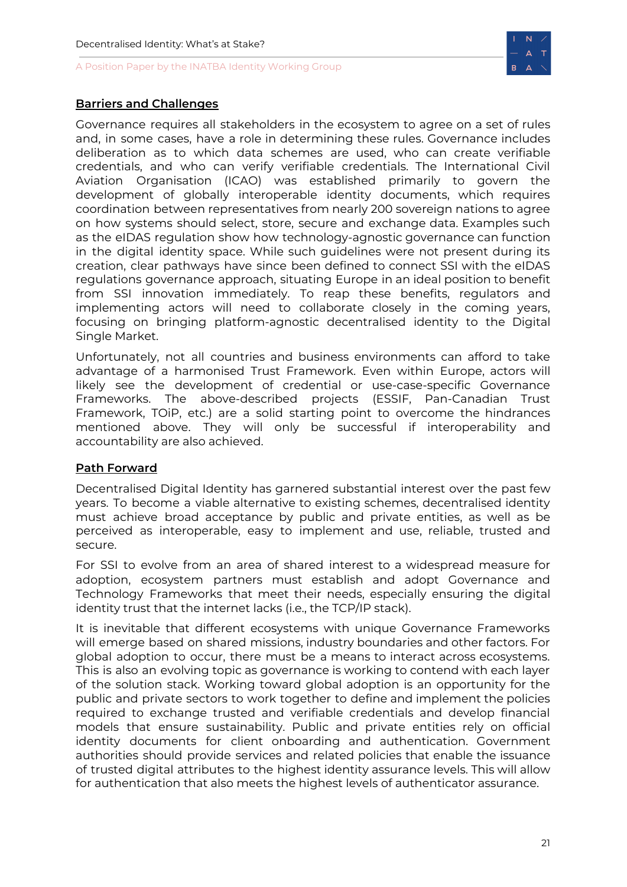

### <span id="page-21-0"></span>**Barriers and Challenges**

Governance requires all stakeholders in the ecosystem to agree on a set of rules and, in some cases, have a role in determining these rules. Governance includes deliberation as to which data schemes are used, who can create verifiable credentials, and who can verify verifiable credentials. The International Civil Aviation Organisation (ICAO) was established primarily to govern the development of globally interoperable identity documents, which requires coordination between representatives from nearly 200 sovereign nations to agree on how systems should select, store, secure and exchange data. Examples such as the eIDAS regulation show how technology-agnostic governance can function in the digital identity space. While such guidelines were not present during its creation, clear pathways have since been defined to connect SSI with the eIDAS regulations governance approach, situating Europe in an ideal position to benefit from SSI innovation immediately. To reap these benefits, regulators and implementing actors will need to collaborate closely in the coming years, focusing on bringing platform-agnostic decentralised identity to the Digital Single Market.

Unfortunately, not all countries and business environments can afford to take advantage of a harmonised Trust Framework. Even within Europe, actors will likely see the development of credential or use-case-specific Governance Frameworks. The above-described projects (ESSIF, Pan-Canadian Trust Framework, TOiP, etc.) are a solid starting point to overcome the hindrances mentioned above. They will only be successful if interoperability and accountability are also achieved.

### <span id="page-21-1"></span>**Path Forward**

Decentralised Digital Identity has garnered substantial interest over the past few years. To become a viable alternative to existing schemes, decentralised identity must achieve broad acceptance by public and private entities, as well as be perceived as interoperable, easy to implement and use, reliable, trusted and secure.

For SSI to evolve from an area of shared interest to a widespread measure for adoption, ecosystem partners must establish and adopt Governance and Technology Frameworks that meet their needs, especially ensuring the digital identity trust that the internet lacks (i.e., the TCP/IP stack).

It is inevitable that different ecosystems with unique Governance Frameworks will emerge based on shared missions, industry boundaries and other factors. For global adoption to occur, there must be a means to interact across ecosystems. This is also an evolving topic as governance is working to contend with each layer of the solution stack. Working toward global adoption is an opportunity for the public and private sectors to work together to define and implement the policies required to exchange trusted and verifiable credentials and develop financial models that ensure sustainability. Public and private entities rely on official identity documents for client onboarding and authentication. Government authorities should provide services and related policies that enable the issuance of trusted digital attributes to the highest identity assurance levels. This will allow for authentication that also meets the highest levels of authenticator assurance.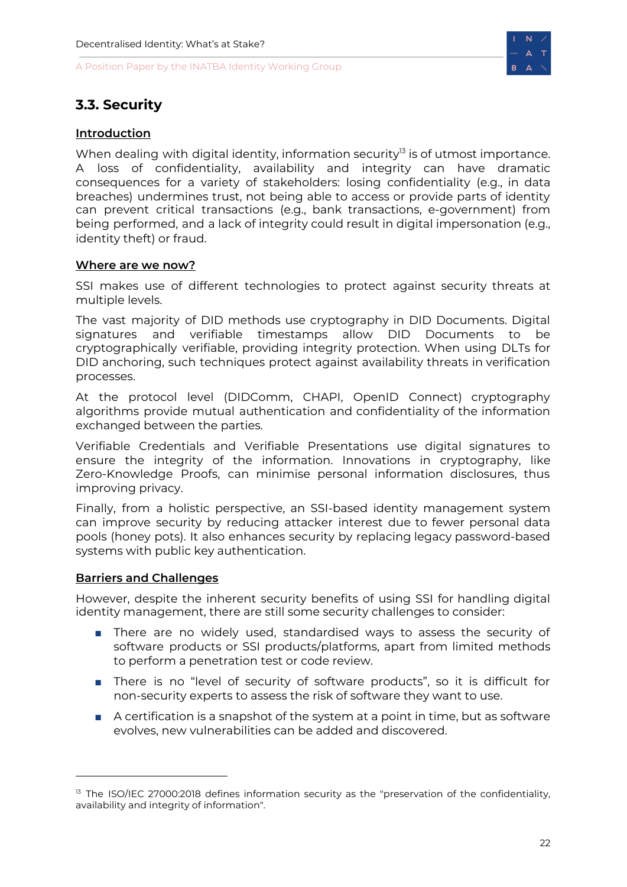

# <span id="page-22-0"></span>**3.3. Security**

### <span id="page-22-1"></span>**Introduction**

When dealing with digital identity, information security<sup>13</sup> is of utmost importance. A loss of confidentiality, availability and integrity can have dramatic consequences for a variety of stakeholders: losing confidentiality (e.g., in data breaches) undermines trust, not being able to access or provide parts of identity can prevent critical transactions (e.g., bank transactions, e-government) from being performed, and a lack of integrity could result in digital impersonation (e.g., identity theft) or fraud.

#### <span id="page-22-2"></span>**Where are we now?**

SSI makes use of different technologies to protect against security threats at multiple levels.

The vast majority of DID methods use cryptography in DID Documents. Digital signatures and verifiable timestamps allow DID Documents to be cryptographically verifiable, providing integrity protection. When using DLTs for DID anchoring, such techniques protect against availability threats in verification processes.

At the protocol level (DIDComm, CHAPI, OpenID Connect) cryptography algorithms provide mutual authentication and confidentiality of the information exchanged between the parties.

Verifiable Credentials and Verifiable Presentations use digital signatures to ensure the integrity of the information. Innovations in cryptography, like Zero-Knowledge Proofs, can minimise personal information disclosures, thus improving privacy.

Finally, from a holistic perspective, an SSI-based identity management system can improve security by reducing attacker interest due to fewer personal data pools (honey pots). It also enhances security by replacing legacy password-based systems with public key authentication.

#### <span id="page-22-3"></span>**Barriers and Challenges**

However, despite the inherent security benefits of using SSI for handling digital identity management, there are still some security challenges to consider:

- There are no widely used, standardised ways to assess the security of software products or SSI products/platforms, apart from limited methods to perform a penetration test or code review.
- There is no "level of security of software products", so it is difficult for non-security experts to assess the risk of software they want to use.
- A certification is a snapshot of the system at a point in time, but as software evolves, new vulnerabilities can be added and discovered.

<sup>&</sup>lt;sup>13</sup> The ISO/IEC 27000:2018 defines information security as the "preservation of the confidentiality, availability and integrity of information".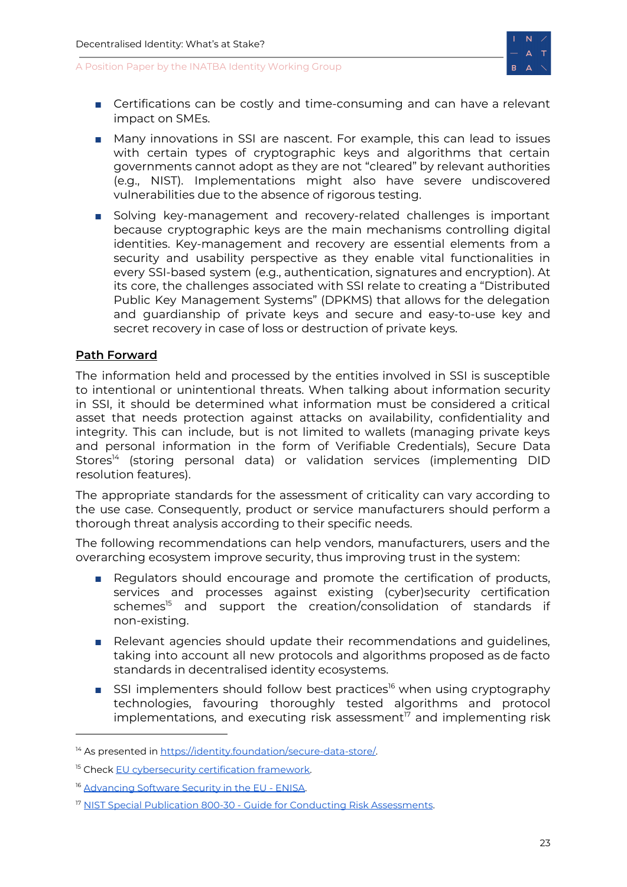

- Certifications can be costly and time-consuming and can have a relevant impact on SMEs.
- Many innovations in SSI are nascent. For example, this can lead to issues with certain types of cryptographic keys and algorithms that certain governments cannot adopt as they are not "cleared" by relevant authorities (e.g., NIST). Implementations might also have severe undiscovered vulnerabilities due to the absence of rigorous testing.
- Solving key-management and recovery-related challenges is important because cryptographic keys are the main mechanisms controlling digital identities. Key-management and recovery are essential elements from a security and usability perspective as they enable vital functionalities in every SSI-based system (e.g., authentication, signatures and encryption). At its core, the challenges associated with SSI relate to creating a "Distributed Public Key Management Systems" (DPKMS) that allows for the delegation and guardianship of private keys and secure and easy-to-use key and secret recovery in case of loss or destruction of private keys.

### <span id="page-23-0"></span>**Path Forward**

The information held and processed by the entities involved in SSI is susceptible to intentional or unintentional threats. When talking about information security in SSI, it should be determined what information must be considered a critical asset that needs protection against attacks on availability, confidentiality and integrity. This can include, but is not limited to wallets (managing private keys and personal information in the form of Verifiable Credentials), Secure Data Stores<sup>14</sup> (storing personal data) or validation services (implementing DID resolution features).

The appropriate standards for the assessment of criticality can vary according to the use case. Consequently, product or service manufacturers should perform a thorough threat analysis according to their specific needs.

The following recommendations can help vendors, manufacturers, users and the overarching ecosystem improve security, thus improving trust in the system:

- Regulators should encourage and promote the certification of products, services and processes against existing (cyber)security certification schemes <sup>15</sup> and support the creation/consolidation of standards if non-existing.
- Relevant agencies should update their recommendations and guidelines, taking into account all new protocols and algorithms proposed as de facto standards in decentralised identity ecosystems.
- SSI implementers should follow best practices<sup>16</sup> when using cryptography technologies, favouring thoroughly tested algorithms and protocol implementations, and executing risk assessment <sup>17</sup> and implementing risk

<sup>&</sup>lt;sup>14</sup> As presented in <https://identity.foundation/secure-data-store/>.

<sup>&</sup>lt;sup>15</sup> Check EU [cybersecurity](https://ec.europa.eu/digital-single-market/en/eu-cybersecurity-certification-framework) certification framework.

<sup>&</sup>lt;sup>16</sup> [Advancing](https://www.enisa.europa.eu/publications/advancing-software-security-through-the-eu-certification-framework) Software Security in the EU - ENISA.

<sup>&</sup>lt;sup>17</sup> NIST Special Publication 800-30 - Guide for Conducting Risk [Assessments](https://nvlpubs.nist.gov/nistpubs/Legacy/SP/nistspecialpublication800-30r1.pdf).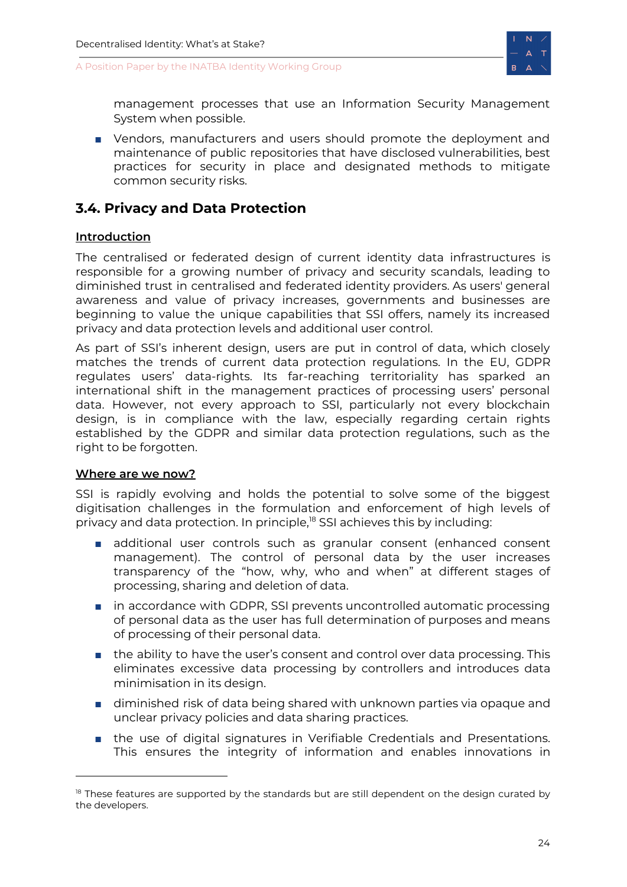



management processes that use an Information Security Management System when possible.

■ Vendors, manufacturers and users should promote the deployment and maintenance of public repositories that have disclosed vulnerabilities, best practices for security in place and designated methods to mitigate common security risks.

# <span id="page-24-0"></span>**3.4. Privacy and Data Protection**

### <span id="page-24-1"></span>**Introduction**

The centralised or federated design of current identity data infrastructures is responsible for a growing number of privacy and security scandals, leading to diminished trust in centralised and federated identity providers. As users' general awareness and value of privacy increases, governments and businesses are beginning to value the unique capabilities that SSI offers, namely its increased privacy and data protection levels and additional user control.

As part of SSI's inherent design, users are put in control of data, which closely matches the trends of current data protection regulations. In the EU, GDPR regulates users' data-rights. Its far-reaching territoriality has sparked an international shift in the management practices of processing users' personal data. However, not every approach to SSI, particularly not every blockchain design, is in compliance with the law, especially regarding certain rights established by the GDPR and similar data protection regulations, such as the right to be forgotten.

#### <span id="page-24-2"></span>**Where are we now?**

SSI is rapidly evolving and holds the potential to solve some of the biggest digitisation challenges in the formulation and enforcement of high levels of privacy and data protection. In principle,<sup>18</sup> SSI achieves this by including:

- additional user controls such as granular consent (enhanced consent management). The control of personal data by the user increases transparency of the "how, why, who and when" at different stages of processing, sharing and deletion of data.
- in accordance with GDPR, SSI prevents uncontrolled automatic processing of personal data as the user has full determination of purposes and means of processing of their personal data.
- the ability to have the user's consent and control over data processing. This eliminates excessive data processing by controllers and introduces data minimisation in its design.
- diminished risk of data being shared with unknown parties via opaque and unclear privacy policies and data sharing practices.
- the use of digital signatures in Verifiable Credentials and Presentations. This ensures the integrity of information and enables innovations in

 $18$  These features are supported by the standards but are still dependent on the design curated by the developers.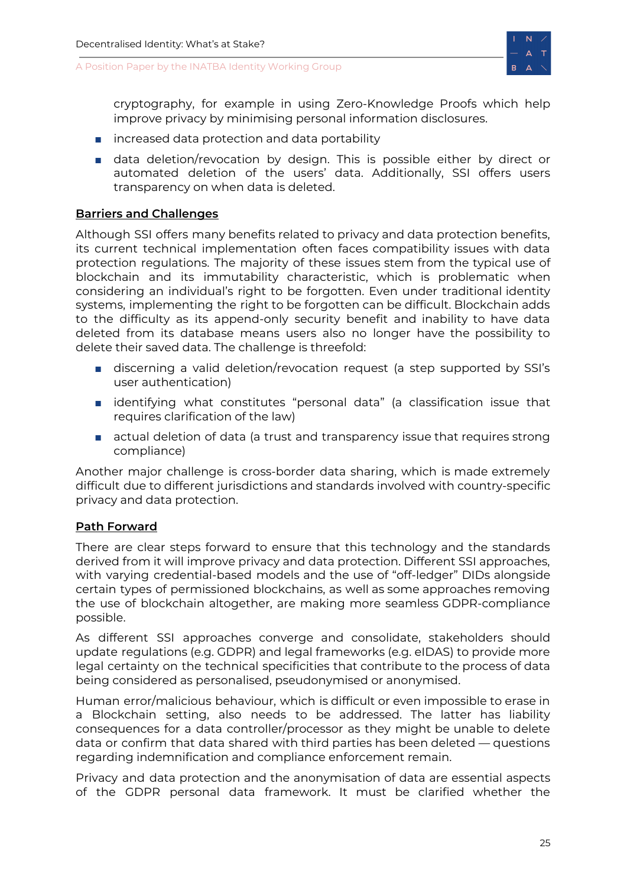

cryptography, for example in using Zero-Knowledge Proofs which help improve privacy by minimising personal information disclosures.

- increased data protection and data portability
- data deletion/revocation by design. This is possible either by direct or automated deletion of the users' data. Additionally, SSI offers users transparency on when data is deleted.

#### <span id="page-25-0"></span>**Barriers and Challenges**

Although SSI offers many benefits related to privacy and data protection benefits, its current technical implementation often faces compatibility issues with data protection regulations. The majority of these issues stem from the typical use of blockchain and its immutability characteristic, which is problematic when considering an individual's right to be forgotten. Even under traditional identity systems, implementing the right to be forgotten can be difficult. Blockchain adds to the difficulty as its append-only security benefit and inability to have data deleted from its database means users also no longer have the possibility to delete their saved data. The challenge is threefold:

- discerning a valid deletion/revocation request (a step supported by SSI's user authentication)
- identifying what constitutes "personal data" (a classification issue that requires clarification of the law)
- actual deletion of data (a trust and transparency issue that requires strong compliance)

Another major challenge is cross-border data sharing, which is made extremely difficult due to different jurisdictions and standards involved with country-specific privacy and data protection.

### <span id="page-25-1"></span>**Path Forward**

There are clear steps forward to ensure that this technology and the standards derived from it will improve privacy and data protection. Different SSI approaches, with varying credential-based models and the use of "off-ledger" DIDs alongside certain types of permissioned blockchains, as well as some approaches removing the use of blockchain altogether, are making more seamless GDPR-compliance possible.

As different SSI approaches converge and consolidate, stakeholders should update regulations (e.g. GDPR) and legal frameworks (e.g. eIDAS) to provide more legal certainty on the technical specificities that contribute to the process of data being considered as personalised, pseudonymised or anonymised.

Human error/malicious behaviour, which is difficult or even impossible to erase in a Blockchain setting, also needs to be addressed. The latter has liability consequences for a data controller/processor as they might be unable to delete data or confirm that data shared with third parties has been deleted — questions regarding indemnification and compliance enforcement remain.

Privacy and data protection and the anonymisation of data are essential aspects of the GDPR personal data framework. It must be clarified whether the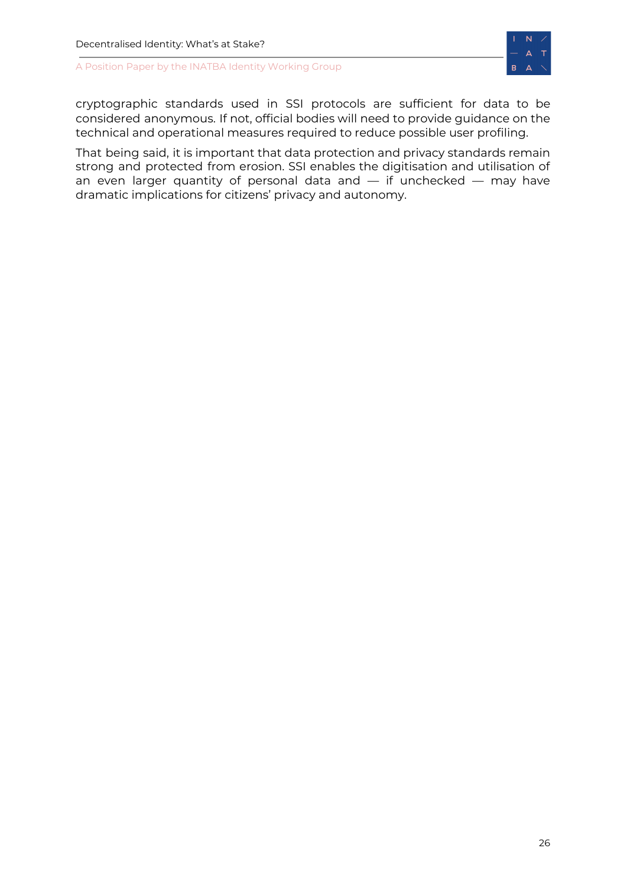

cryptographic standards used in SSI protocols are sufficient for data to be considered anonymous. If not, official bodies will need to provide guidance on the technical and operational measures required to reduce possible user profiling.

<span id="page-26-0"></span>That being said, it is important that data protection and privacy standards remain strong and protected from erosion. SSI enables the digitisation and utilisation of an even larger quantity of personal data and  $-$  if unchecked  $-$  may have dramatic implications for citizens' privacy and autonomy.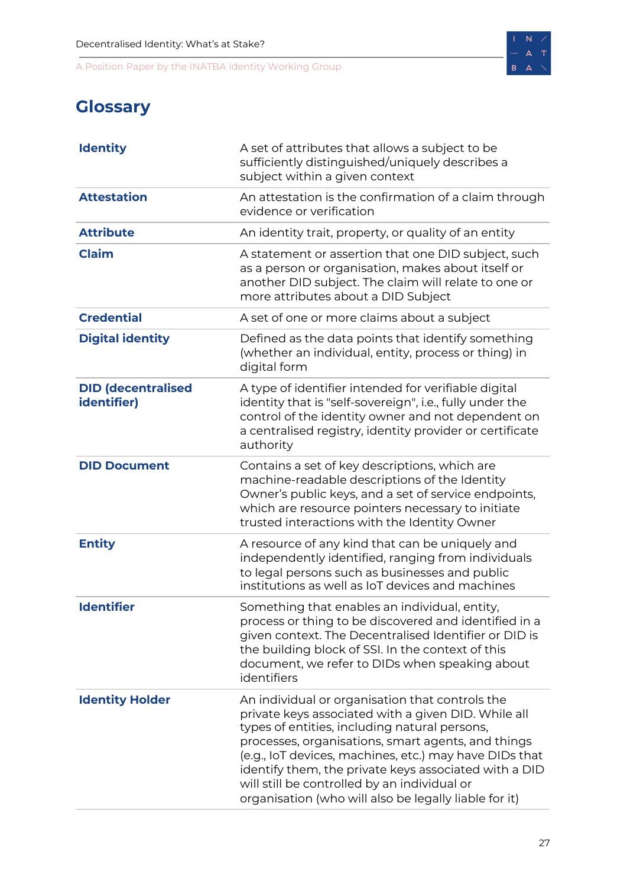

# **Glossary**

| <b>Identity</b>                          | A set of attributes that allows a subject to be<br>sufficiently distinguished/uniquely describes a<br>subject within a given context                                                                                                                                                                                                                                                                                                      |
|------------------------------------------|-------------------------------------------------------------------------------------------------------------------------------------------------------------------------------------------------------------------------------------------------------------------------------------------------------------------------------------------------------------------------------------------------------------------------------------------|
| <b>Attestation</b>                       | An attestation is the confirmation of a claim through<br>evidence or verification                                                                                                                                                                                                                                                                                                                                                         |
| <b>Attribute</b>                         | An identity trait, property, or quality of an entity                                                                                                                                                                                                                                                                                                                                                                                      |
| <b>Claim</b>                             | A statement or assertion that one DID subject, such<br>as a person or organisation, makes about itself or<br>another DID subject. The claim will relate to one or<br>more attributes about a DID Subject                                                                                                                                                                                                                                  |
| <b>Credential</b>                        | A set of one or more claims about a subject                                                                                                                                                                                                                                                                                                                                                                                               |
| <b>Digital identity</b>                  | Defined as the data points that identify something<br>(whether an individual, entity, process or thing) in<br>digital form                                                                                                                                                                                                                                                                                                                |
| <b>DID (decentralised</b><br>identifier) | A type of identifier intended for verifiable digital<br>identity that is "self-sovereign", i.e., fully under the<br>control of the identity owner and not dependent on<br>a centralised registry, identity provider or certificate<br>authority                                                                                                                                                                                           |
| <b>DID Document</b>                      | Contains a set of key descriptions, which are<br>machine-readable descriptions of the Identity<br>Owner's public keys, and a set of service endpoints,<br>which are resource pointers necessary to initiate<br>trusted interactions with the Identity Owner                                                                                                                                                                               |
| <b>Entity</b>                            | A resource of any kind that can be uniquely and<br>independently identified, ranging from individuals<br>to legal persons such as businesses and public<br>institutions as well as IoT devices and machines                                                                                                                                                                                                                               |
| <b>Identifier</b>                        | Something that enables an individual, entity,<br>process or thing to be discovered and identified in a<br>given context. The Decentralised Identifier or DID is<br>the building block of SSI. In the context of this<br>document, we refer to DIDs when speaking about<br>identifiers                                                                                                                                                     |
| <b>Identity Holder</b>                   | An individual or organisation that controls the<br>private keys associated with a given DID. While all<br>types of entities, including natural persons,<br>processes, organisations, smart agents, and things<br>(e.g., IoT devices, machines, etc.) may have DIDs that<br>identify them, the private keys associated with a DID<br>will still be controlled by an individual or<br>organisation (who will also be legally liable for it) |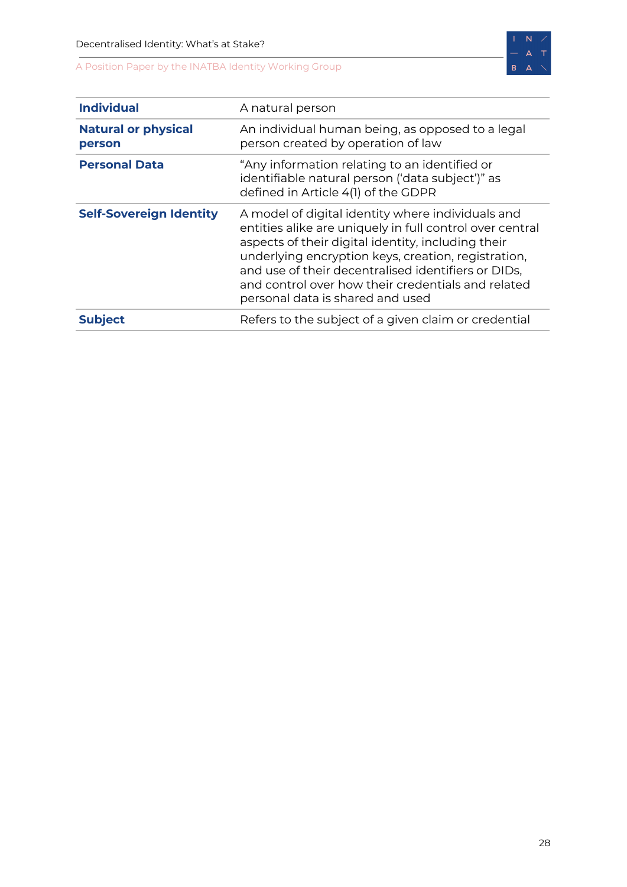

| <b>Individual</b>                    | A natural person                                                                                                                                                                                                                                                                                                                                                            |
|--------------------------------------|-----------------------------------------------------------------------------------------------------------------------------------------------------------------------------------------------------------------------------------------------------------------------------------------------------------------------------------------------------------------------------|
| <b>Natural or physical</b><br>person | An individual human being, as opposed to a legal<br>person created by operation of law                                                                                                                                                                                                                                                                                      |
| <b>Personal Data</b>                 | "Any information relating to an identified or<br>identifiable natural person ('data subject')" as<br>defined in Article 4(1) of the GDPR                                                                                                                                                                                                                                    |
| <b>Self-Sovereign Identity</b>       | A model of digital identity where individuals and<br>entities alike are uniquely in full control over central<br>aspects of their digital identity, including their<br>underlying encryption keys, creation, registration,<br>and use of their decentralised identifiers or DIDs,<br>and control over how their credentials and related<br>personal data is shared and used |
| <b>Subject</b>                       | Refers to the subject of a given claim or credential                                                                                                                                                                                                                                                                                                                        |